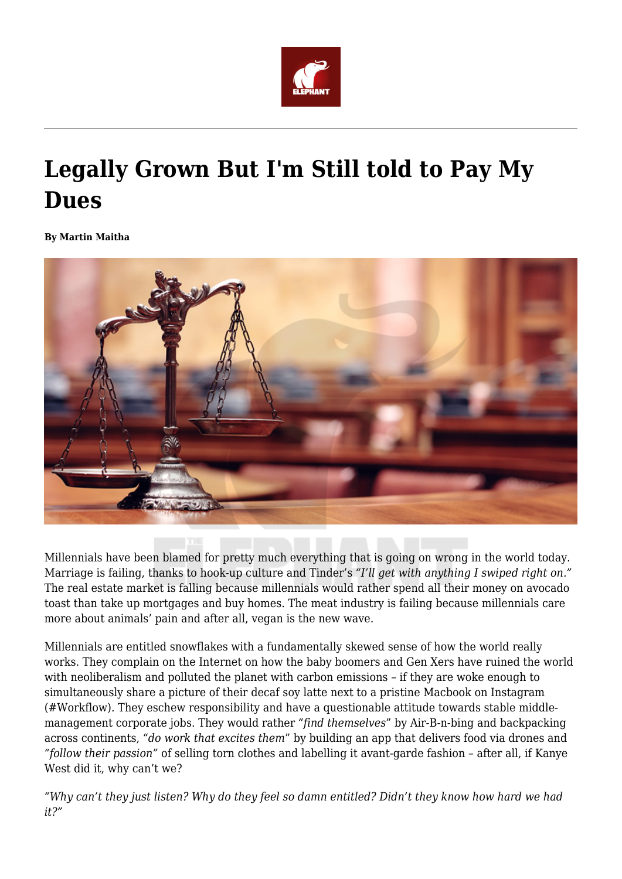

# **Legally Grown But I'm Still told to Pay My Dues**

**By Martin Maitha**



Millennials have been blamed for pretty much everything that is going on wrong in the world today. Marriage is failing, thanks to hook-up culture and Tinder's *"I'll get with anything I swiped right on."* The real estate market is falling because millennials would rather spend all their money on avocado toast than take up mortgages and buy homes. The meat industry is failing because millennials care more about animals' pain and after all, vegan is the new wave.

Millennials are entitled snowflakes with a fundamentally skewed sense of how the world really works. They complain on the Internet on how the baby boomers and Gen Xers have ruined the world with neoliberalism and polluted the planet with carbon emissions – if they are woke enough to simultaneously share a picture of their decaf soy latte next to a pristine Macbook on Instagram (#Workflow). They eschew responsibility and have a questionable attitude towards stable middlemanagement corporate jobs. They would rather *"find themselves*" by Air-B-n-bing and backpacking across continents, *"do work that excites them*" by building an app that delivers food via drones and *"follow their passion"* of selling torn clothes and labelling it avant-garde fashion – after all, if Kanye West did it, why can't we?

*"Why can't they just listen? Why do they feel so damn entitled? Didn't they know how hard we had it?"*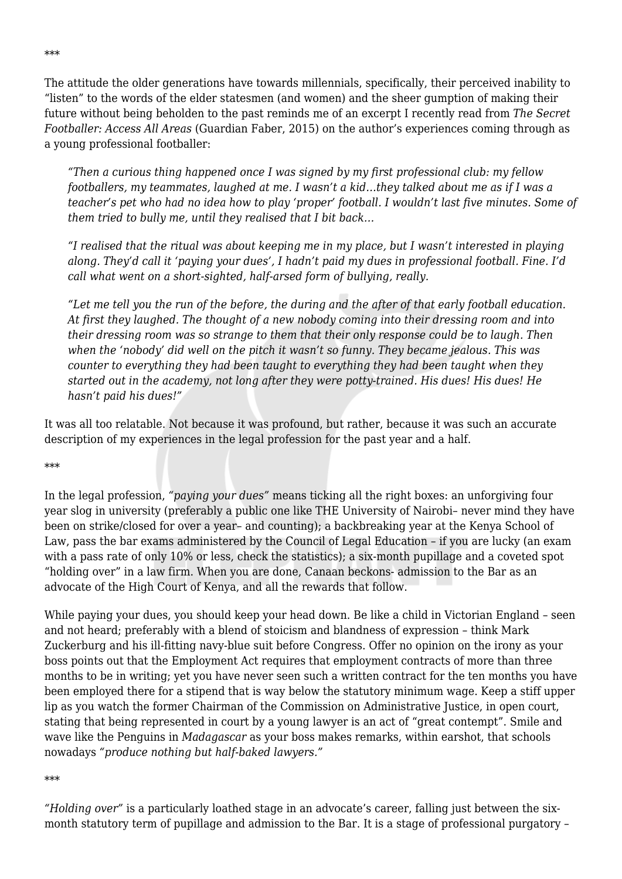The attitude the older generations have towards millennials, specifically, their perceived inability to "listen" to the words of the elder statesmen (and women) and the sheer gumption of making their future without being beholden to the past reminds me of an excerpt I recently read from *The Secret Footballer: Access All Areas* (Guardian Faber, 2015) on the author's experiences coming through as a young professional footballer:

*"Then a curious thing happened once I was signed by my first professional club: my fellow footballers, my teammates, laughed at me. I wasn't a kid…they talked about me as if I was a teacher's pet who had no idea how to play 'proper' football. I wouldn't last five minutes. Some of them tried to bully me, until they realised that I bit back…*

*"I realised that the ritual was about keeping me in my place, but I wasn't interested in playing along. They'd call it 'paying your dues', I hadn't paid my dues in professional football. Fine. I'd call what went on a short-sighted, half-arsed form of bullying, really.*

*"Let me tell you the run of the before, the during and the after of that early football education. At first they laughed. The thought of a new nobody coming into their dressing room and into their dressing room was so strange to them that their only response could be to laugh. Then when the 'nobody' did well on the pitch it wasn't so funny. They became jealous. This was counter to everything they had been taught to everything they had been taught when they started out in the academy, not long after they were potty-trained. His dues! His dues! He hasn't paid his dues!"*

It was all too relatable. Not because it was profound, but rather, because it was such an accurate description of my experiences in the legal profession for the past year and a half.

## \*\*\*

In the legal profession, *"paying your dues"* means ticking all the right boxes: an unforgiving four year slog in university (preferably a public one like THE University of Nairobi– never mind they have been on strike/closed for over a year– and counting); a backbreaking year at the Kenya School of Law, pass the bar exams administered by the Council of Legal Education – if you are lucky (an exam with a pass rate of only 10% or less, check the statistics); a six-month pupillage and a coveted spot "holding over" in a law firm. When you are done, Canaan beckons- admission to the Bar as an advocate of the High Court of Kenya, and all the rewards that follow.

While paying your dues, you should keep your head down. Be like a child in Victorian England – seen and not heard; preferably with a blend of stoicism and blandness of expression – think Mark Zuckerburg and his ill-fitting navy-blue suit before Congress. Offer no opinion on the irony as your boss points out that the Employment Act requires that employment contracts of more than three months to be in writing; yet you have never seen such a written contract for the ten months you have been employed there for a stipend that is way below the statutory minimum wage. Keep a stiff upper lip as you watch the former Chairman of the Commission on Administrative Justice, in open court, stating that being represented in court by a young lawyer is an act of "great contempt". Smile and wave like the Penguins in *Madagascar* as your boss makes remarks, within earshot, that schools nowadays *"produce nothing but half-baked lawyers."*

#### \*\*\*

*"Holding over"* is a particularly loathed stage in an advocate's career, falling just between the sixmonth statutory term of pupillage and admission to the Bar. It is a stage of professional purgatory –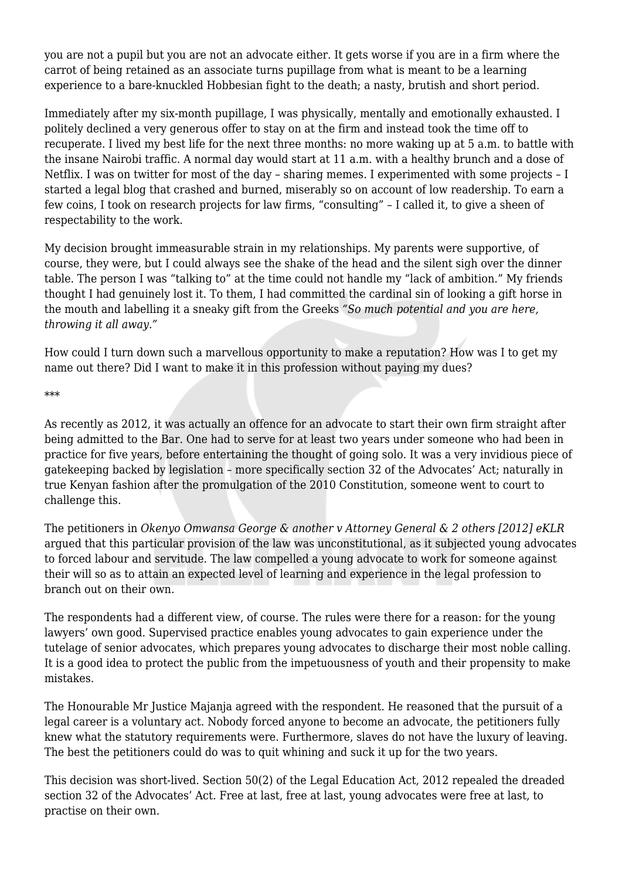you are not a pupil but you are not an advocate either. It gets worse if you are in a firm where the carrot of being retained as an associate turns pupillage from what is meant to be a learning experience to a bare-knuckled Hobbesian fight to the death; a nasty, brutish and short period.

Immediately after my six-month pupillage, I was physically, mentally and emotionally exhausted. I politely declined a very generous offer to stay on at the firm and instead took the time off to recuperate. I lived my best life for the next three months: no more waking up at 5 a.m. to battle with the insane Nairobi traffic. A normal day would start at 11 a.m. with a healthy brunch and a dose of Netflix. I was on twitter for most of the day – sharing memes. I experimented with some projects – I started a legal blog that crashed and burned, miserably so on account of low readership. To earn a few coins, I took on research projects for law firms, "consulting" – I called it, to give a sheen of respectability to the work.

My decision brought immeasurable strain in my relationships. My parents were supportive, of course, they were, but I could always see the shake of the head and the silent sigh over the dinner table. The person I was "talking to" at the time could not handle my "lack of ambition." My friends thought I had genuinely lost it. To them, I had committed the cardinal sin of looking a gift horse in the mouth and labelling it a sneaky gift from the Greeks *"So much potential and you are here, throwing it all away."*

How could I turn down such a marvellous opportunity to make a reputation? How was I to get my name out there? Did I want to make it in this profession without paying my dues?

\*\*\*

As recently as 2012, it was actually an offence for an advocate to start their own firm straight after being admitted to the Bar. One had to serve for at least two years under someone who had been in practice for five years, before entertaining the thought of going solo. It was a very invidious piece of gatekeeping backed by legislation – more specifically section 32 of the Advocates' Act; naturally in true Kenyan fashion after the promulgation of the 2010 Constitution, someone went to court to challenge this.

The petitioners in *Okenyo Omwansa George & another v Attorney General & 2 others [2012] eKLR* argued that this particular provision of the law was unconstitutional, as it subjected young advocates to forced labour and servitude. The law compelled a young advocate to work for someone against their will so as to attain an expected level of learning and experience in the legal profession to branch out on their own.

The respondents had a different view, of course. The rules were there for a reason: for the young lawyers' own good. Supervised practice enables young advocates to gain experience under the tutelage of senior advocates, which prepares young advocates to discharge their most noble calling. It is a good idea to protect the public from the impetuousness of youth and their propensity to make mistakes.

The Honourable Mr Justice Majanja agreed with the respondent. He reasoned that the pursuit of a legal career is a voluntary act. Nobody forced anyone to become an advocate, the petitioners fully knew what the statutory requirements were. Furthermore, slaves do not have the luxury of leaving. The best the petitioners could do was to quit whining and suck it up for the two years.

This decision was short-lived. Section 50(2) of the Legal Education Act, 2012 repealed the dreaded section 32 of the Advocates' Act. Free at last, free at last, young advocates were free at last, to practise on their own.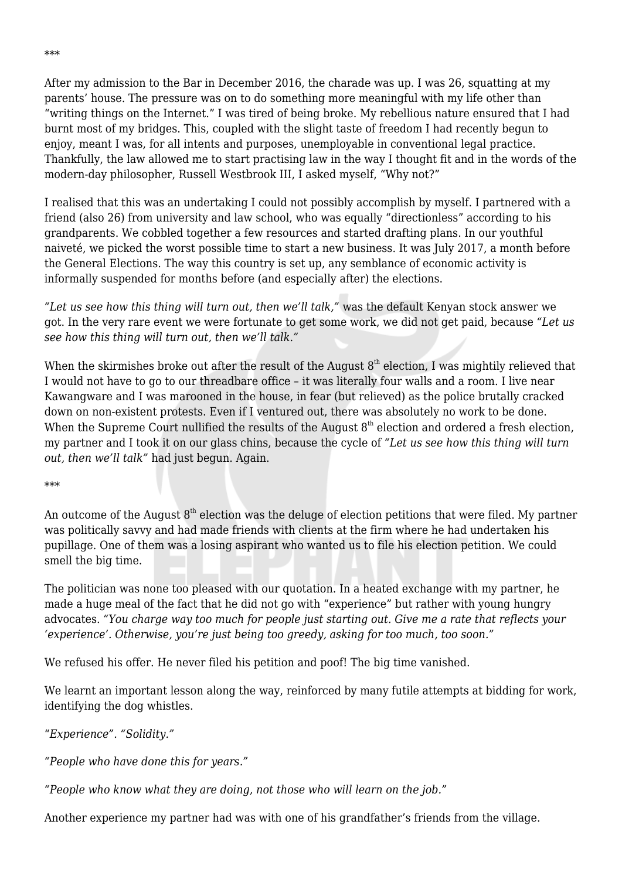After my admission to the Bar in December 2016, the charade was up. I was 26, squatting at my parents' house. The pressure was on to do something more meaningful with my life other than "writing things on the Internet." I was tired of being broke. My rebellious nature ensured that I had burnt most of my bridges. This, coupled with the slight taste of freedom I had recently begun to enjoy, meant I was, for all intents and purposes, unemployable in conventional legal practice. Thankfully, the law allowed me to start practising law in the way I thought fit and in the words of the modern-day philosopher, Russell Westbrook III, I asked myself, "Why not?"

I realised that this was an undertaking I could not possibly accomplish by myself. I partnered with a friend (also 26) from university and law school, who was equally "directionless" according to his grandparents. We cobbled together a few resources and started drafting plans. In our youthful naiveté, we picked the worst possible time to start a new business. It was July 2017, a month before the General Elections. The way this country is set up, any semblance of economic activity is informally suspended for months before (and especially after) the elections.

*"Let us see how this thing will turn out, then we'll talk,"* was the default Kenyan stock answer we got. In the very rare event we were fortunate to get some work, we did not get paid, because *"Let us see how this thing will turn out, then we'll talk."*

When the skirmishes broke out after the result of the August  $8<sup>th</sup>$  election, I was mightily relieved that I would not have to go to our threadbare office – it was literally four walls and a room. I live near Kawangware and I was marooned in the house, in fear (but relieved) as the police brutally cracked down on non-existent protests. Even if I ventured out, there was absolutely no work to be done. When the Supreme Court nullified the results of the August  $8<sup>th</sup>$  election and ordered a fresh election, my partner and I took it on our glass chins, because the cycle of *"Let us see how this thing will turn out, then we'll talk"* had just begun. Again.

## \*\*\*

An outcome of the August  $8<sup>th</sup>$  election was the deluge of election petitions that were filed. My partner was politically savvy and had made friends with clients at the firm where he had undertaken his pupillage. One of them was a losing aspirant who wanted us to file his election petition. We could smell the big time.

The politician was none too pleased with our quotation. In a heated exchange with my partner, he made a huge meal of the fact that he did not go with "experience" but rather with young hungry advocates. *"You charge way too much for people just starting out. Give me a rate that reflects your 'experience'. Otherwise, you're just being too greedy, asking for too much, too soon."*

We refused his offer. He never filed his petition and poof! The big time vanished.

We learnt an important lesson along the way, reinforced by many futile attempts at bidding for work, identifying the dog whistles.

"*Experience". "Solidity."*

*"People who have done this for years."*

*"People who know what they are doing, not those who will learn on the job."*

Another experience my partner had was with one of his grandfather's friends from the village.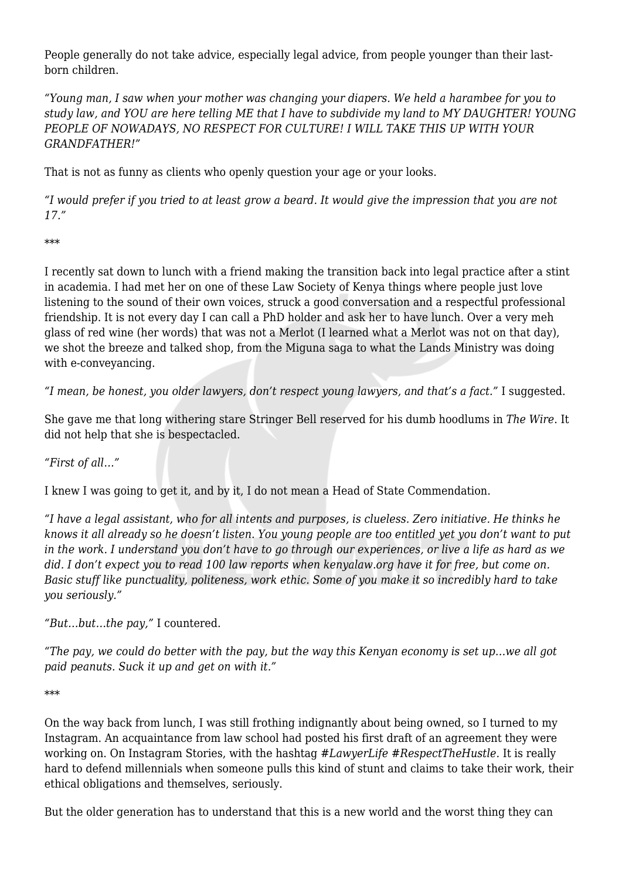People generally do not take advice, especially legal advice, from people younger than their lastborn children.

*"Young man, I saw when your mother was changing your diapers. We held a harambee for you to study law, and YOU are here telling ME that I have to subdivide my land to MY DAUGHTER! YOUNG PEOPLE OF NOWADAYS, NO RESPECT FOR CULTURE! I WILL TAKE THIS UP WITH YOUR GRANDFATHER!"*

That is not as funny as clients who openly question your age or your looks.

*"I would prefer if you tried to at least grow a beard. It would give the impression that you are not 17."*

\*\*\*

I recently sat down to lunch with a friend making the transition back into legal practice after a stint in academia. I had met her on one of these Law Society of Kenya things where people just love listening to the sound of their own voices, struck a good conversation and a respectful professional friendship. It is not every day I can call a PhD holder and ask her to have lunch. Over a very meh glass of red wine (her words) that was not a Merlot (I learned what a Merlot was not on that day), we shot the breeze and talked shop, from the Miguna saga to what the Lands Ministry was doing with e-conveyancing.

*"I mean, be honest, you older lawyers, don't respect young lawyers, and that's a fact."* I suggested.

She gave me that long withering stare Stringer Bell reserved for his dumb hoodlums in *The Wire*. It did not help that she is bespectacled.

*"First of all…"*

I knew I was going to get it, and by it, I do not mean a Head of State Commendation.

*"I have a legal assistant, who for all intents and purposes, is clueless. Zero initiative. He thinks he knows it all already so he doesn't listen. You young people are too entitled yet you don't want to put in the work. I understand you don't have to go through our experiences, or live a life as hard as we did. I don't expect you to read 100 law reports when kenyalaw.org have it for free, but come on. Basic stuff like punctuality, politeness, work ethic. Some of you make it so incredibly hard to take you seriously."*

*"But…but…the pay,"* I countered.

*"The pay, we could do better with the pay, but the way this Kenyan economy is set up…we all got paid peanuts. Suck it up and get on with it."*

\*\*\*

On the way back from lunch, I was still frothing indignantly about being owned, so I turned to my Instagram. An acquaintance from law school had posted his first draft of an agreement they were working on. On Instagram Stories, with the hashtag *#LawyerLife #RespectTheHustle.* It is really hard to defend millennials when someone pulls this kind of stunt and claims to take their work, their ethical obligations and themselves, seriously.

But the older generation has to understand that this is a new world and the worst thing they can